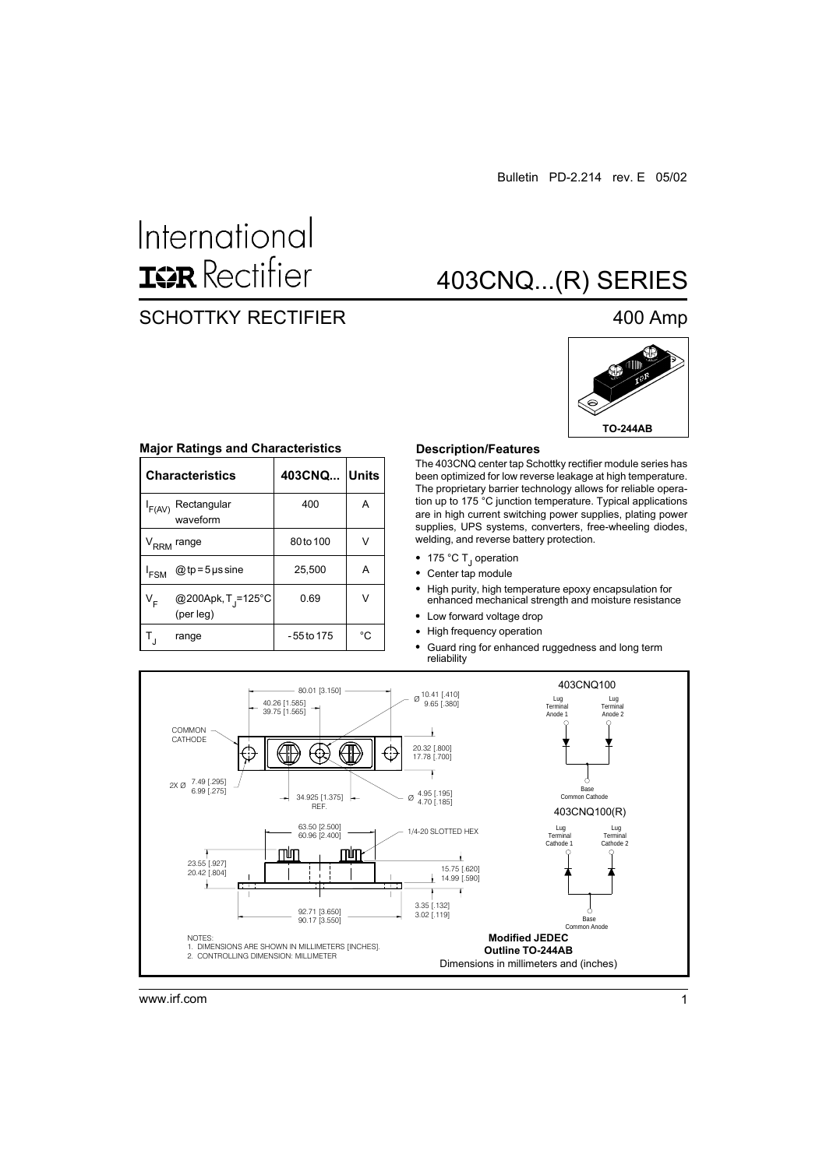# International **ISR** Rectifier

### SCHOTTKY RECTIFIER 400 Amp

## 403CNQ...(R) SERIES



#### **Major Ratings and Characteristics**

|                             | <b>Characteristics</b>                      | 403CNQ Units |    |
|-----------------------------|---------------------------------------------|--------------|----|
| F(AV)                       | Rectangular<br>waveform                     | 400          | А  |
| $\mathsf{v}_{\mathsf{RRM}}$ | range                                       | 80to 100     |    |
| <sup>I</sup> FSM            | @ tp = $5 \mu s$ sine                       | 25,500       | А  |
| v <sub>F</sub>              | @200Apk, T <sub>J</sub> =125°C<br>(per leg) | 0.69         | ν  |
|                             | range                                       | -55 to 175   | °C |

#### **Description/Features**

The 403CNQ center tap Schottky rectifier module series has been optimized for low reverse leakage at high temperature. The proprietary barrier technology allows for reliable operation up to 175 °C junction temperature. Typical applications are in high current switching power supplies, plating power supplies, UPS systems, converters, free-wheeling diodes, welding, and reverse battery protection.

- 175 °C T<sub>J</sub> operation
- Center tap module
- High purity, high temperature epoxy encapsulation for enhanced mechanical strength and moisture resistance
- Low forward voltage drop
- High frequency operation





www.irf.com 1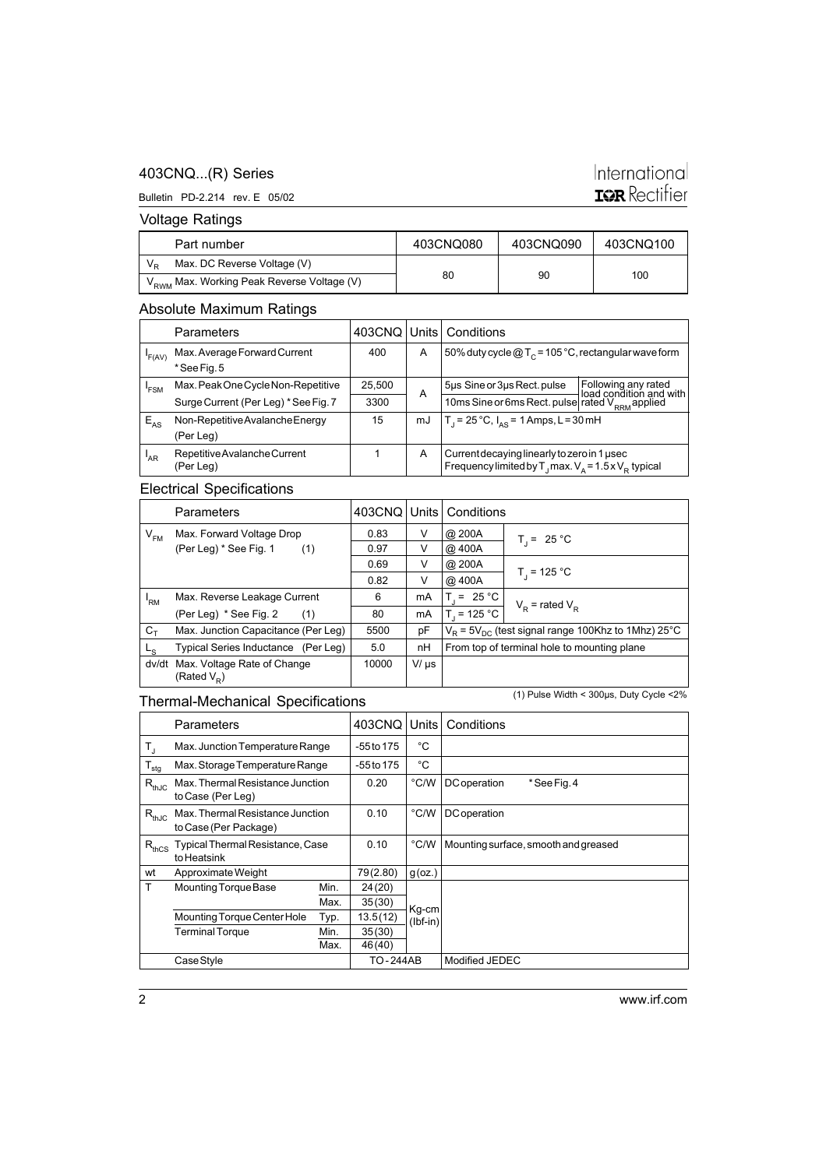### 403CNQ...(R) Series

### International **IGR** Rectifier

Bulletin PD-2.214 rev. E 05/02

### Voltage Ratings

| Part number                                            | 403CNQ080 | 403CNQ090 | 403CNQ100 |
|--------------------------------------------------------|-----------|-----------|-----------|
| Max. DC Reverse Voltage (V)                            |           |           |           |
| V <sub>RWM</sub> Max. Working Peak Reverse Voltage (V) | 80        | 90        | 100       |

### Absolute Maximum Ratings

| . .             |                                           |        |    |                                                                                                                        |                                                |
|-----------------|-------------------------------------------|--------|----|------------------------------------------------------------------------------------------------------------------------|------------------------------------------------|
|                 | <b>Parameters</b>                         |        |    | 403CNQ   Units   Conditions                                                                                            |                                                |
| 'F(AV)          | Max. Average Forward Current              | 400    | A  | 50% duty cycle $@T_c = 105°C$ , rectangular wave form                                                                  |                                                |
|                 | *See Fig. 5                               |        |    |                                                                                                                        |                                                |
| 'FSM            | Max. Peak One Cycle Non-Repetitive        | 25,500 | A  | 5µs Sine or 3µs Rect. pulse                                                                                            | Following any rated<br>load condition and with |
|                 | Surge Current (Per Leg) * See Fig. 7      | 3300   |    | 10ms Sine or 6ms Rect. pulse rated V <sub>RRM</sub> applied                                                            |                                                |
| $E_{AS}$        | Non-Repetitive Avalanche Energy           | 15     | mJ | $T_1 = 25^{\circ}C$ , $I_{\Delta S} = 1$ Amps, L = 30 mH                                                               |                                                |
|                 | (Per Leg)                                 |        |    |                                                                                                                        |                                                |
| <sup>'</sup> AR | Repetitive Avalanche Current<br>(Per Leg) |        | A  | Current decaying linearly to zero in 1 usec<br>Frequency limited by T <sub>1</sub> max. $V_a = 1.5 \times V_B$ typical |                                                |
|                 |                                           |        |    |                                                                                                                        |                                                |

### Electrical Specifications

| <b>Parameters</b> |                                                        |       |           | 403CNQ Units   Conditions |                                                            |
|-------------------|--------------------------------------------------------|-------|-----------|---------------------------|------------------------------------------------------------|
| $V_{FM}$          | Max. Forward Voltage Drop                              | 0.83  | V         | @ 200A                    | $T_1 = 25 °C$                                              |
|                   | (Per Leg) * See Fig. 1<br>(1)                          | 0.97  | V         | @ 400A                    |                                                            |
|                   |                                                        | 0.69  | V         | @ 200A                    |                                                            |
|                   |                                                        | 0.82  | V         | @ 400A                    | $T_{1}$ = 125 °C                                           |
| 'RM               | Max. Reverse Leakage Current                           | 6     | mA        | $T = 25 °C$               | $V_{\rm p}$ = rated $V_{\rm p}$                            |
|                   | (Per Leg) * See Fig. 2<br>(1)                          | 80    | mA        | $T_1 = 125 °C$            |                                                            |
| $C_T$             | Max. Junction Capacitance (Per Leg)                    | 5500  | pF        |                           | $V_B$ = 5 $V_{DC}$ (test signal range 100Khz to 1Mhz) 25°C |
| $-$ s             | Typical Series Inductance (Per Leg)                    | 5.0   | nH        |                           | From top of terminal hole to mounting plane                |
| dv/dt             | Max. Voltage Rate of Change<br>(Rated V <sub>D</sub> ) | 10000 | $V/\mu s$ |                           |                                                            |

### Thermal-Mechanical Specifications

(1) Pulse Width < 300µs, Duty Cycle <2%

|                             | Parameters                                                |      | 403CNQ       | Units               | Conditions                           |
|-----------------------------|-----------------------------------------------------------|------|--------------|---------------------|--------------------------------------|
| $\mathsf{T}_{\mathsf{J}}$   | Max. Junction Temperature Range                           |      | $-55$ to 175 | °C                  |                                      |
| $\mathsf{T}_{\mathsf{stg}}$ | Max. Storage Temperature Range                            |      | -55 to 175   | °C                  |                                      |
| $R_{thJC}$                  | Max. Thermal Resistance Junction<br>to Case (Per Leg)     |      | 0.20         | °C/W                | DC operation<br>*See Fig. 4          |
| $R_{thJC}$                  | Max. Thermal Resistance Junction<br>to Case (Per Package) |      | 0.10         | °C/W                | <b>DC</b> operation                  |
| $R_{thCS}$                  | Typical Thermal Resistance, Case<br>to Heatsink           |      | 0.10         | °C/W                | Mounting surface, smooth and greased |
| wt                          | Approximate Weight                                        |      | 79(2.80)     | $g$ (oz.)           |                                      |
| T                           | Mounting Torque Base                                      | Min. | 24(20)       |                     |                                      |
|                             |                                                           | Max. | 35(30)       | Kg-cm<br>$(lbf-in)$ |                                      |
|                             | Mounting Torque Center Hole                               | Typ. | 13.5(12)     |                     |                                      |
|                             | <b>Terminal Torque</b>                                    | Min. | 35(30)       |                     |                                      |
|                             |                                                           | Max. | 46 (40)      |                     |                                      |
|                             | Case Style                                                |      | TO-244AB     |                     | Modified JEDEC                       |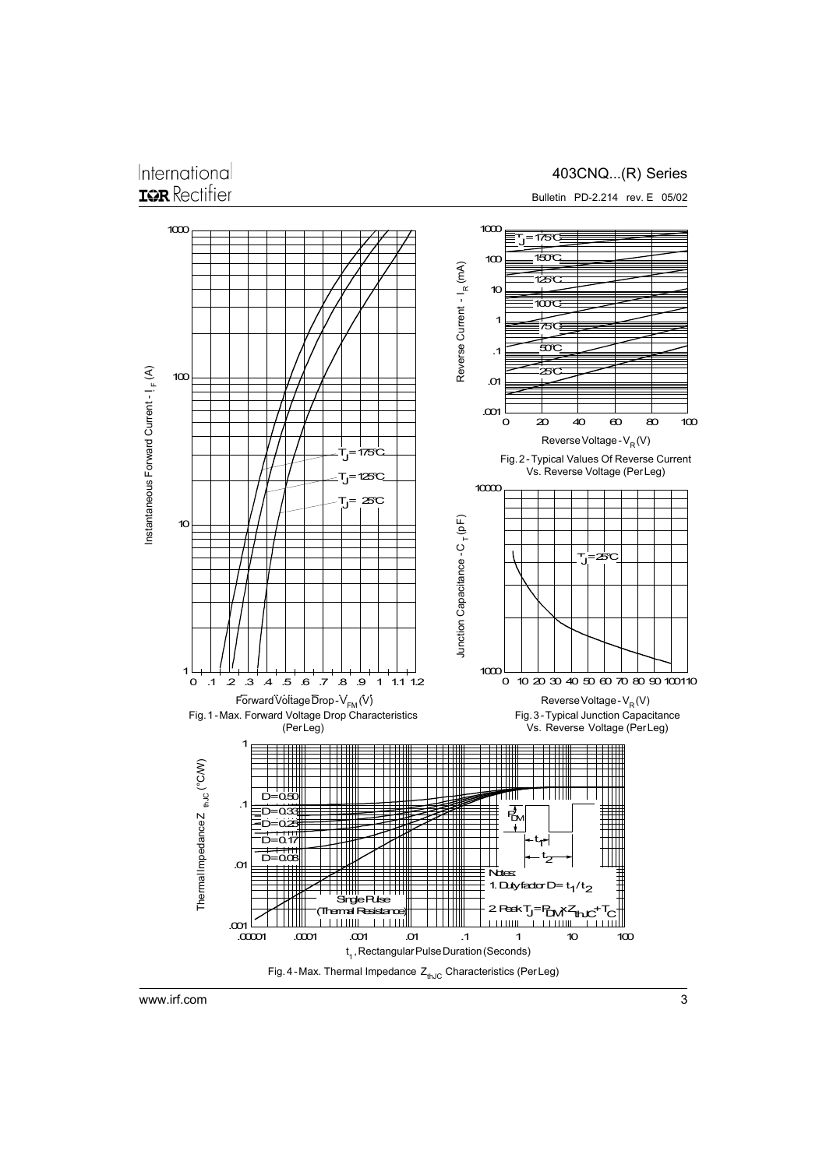### International **IGR** Rectifier

403CNQ...(R) Series

Bulletin PD-2.214 rev. E 05/02



www.irf.com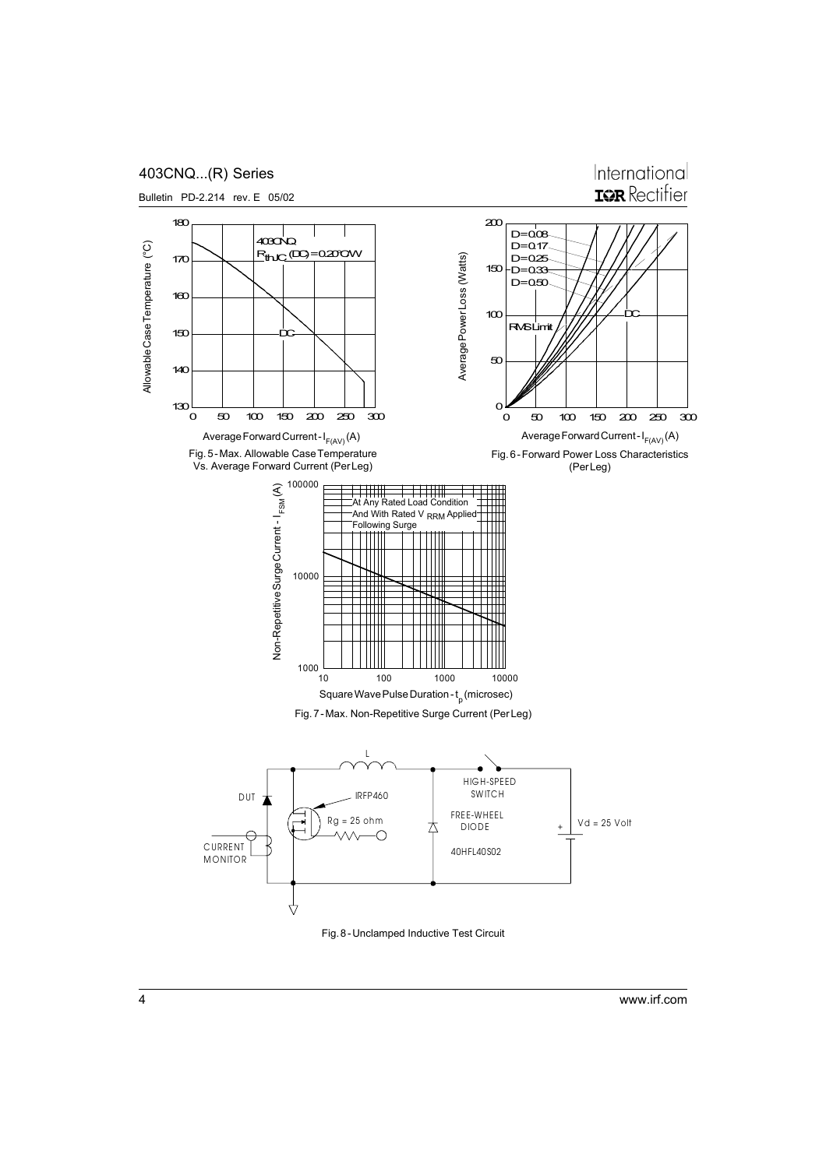